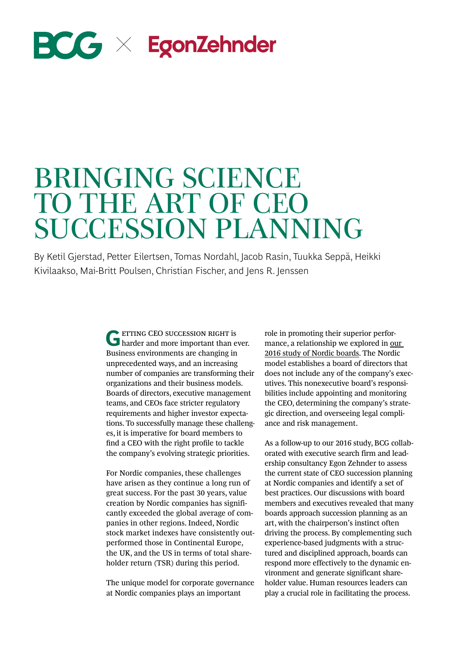# $\mathbf{BCG} \times \mathbf{EgonZehnder}$

# BRINGING SCIENCE TO THE ART OF CEO SUCCESSION PLANNING

By Ketil Gjerstad, Petter Eilertsen, Tomas Nordahl, Jacob Rasin, Tuukka Seppä, Heikki Kivilaakso, Mai-Britt Poulsen, Christian Fischer, and Jens R. Jenssen

> **G**ETTING CEO SUCCESSION RIGHT is harder and more important than ever. Business environments are changing in unprecedented ways, and an increasing number of companies are transforming their organizations and their business models. Boards of directors, executive management teams, and CEOs face stricter regulatory requirements and higher investor expectations. To successfully manage these challenges, it is imperative for board members to find a CEO with the right profile to tackle the company's evolving strategic priorities.

> For Nordic companies, these challenges have arisen as they continue a long run of great success. For the past 30 years, value creation by Nordic companies has significantly exceeded the global average of companies in other regions. Indeed, Nordic stock market indexes have consistently outperformed those in Continental Europe, the UK, and the US in terms of total shareholder return (TSR) during this period.

> The unique model for corporate governance at Nordic companies plays an important

role in promoting their superior performance, a relationship we explored in [our](https://www.bcg.com/publications/2016/strategy-value-creation-strategy-how-nordic-boards-create-exceptional-value.aspx)  [2016 study of Nordic boards](https://www.bcg.com/publications/2016/strategy-value-creation-strategy-how-nordic-boards-create-exceptional-value.aspx). The Nordic model establishes a board of directors that does not include any of the company's executives. This nonexecutive board's responsibilities include appointing and monitoring the CEO, determining the company's strategic direction, and overseeing legal compliance and risk management.

As a follow-up to our 2016 study, BCG collaborated with executive search firm and leadership consultancy Egon Zehnder to assess the current state of CEO succession planning at Nordic companies and identify a set of best practices. Our discussions with board members and executives revealed that many boards approach succession planning as an art, with the chairperson's instinct often driving the process. By complementing such experience-based judgments with a structured and disciplined approach, boards can respond more effectively to the dynamic environment and generate significant shareholder value. Human resources leaders can play a crucial role in facilitating the process.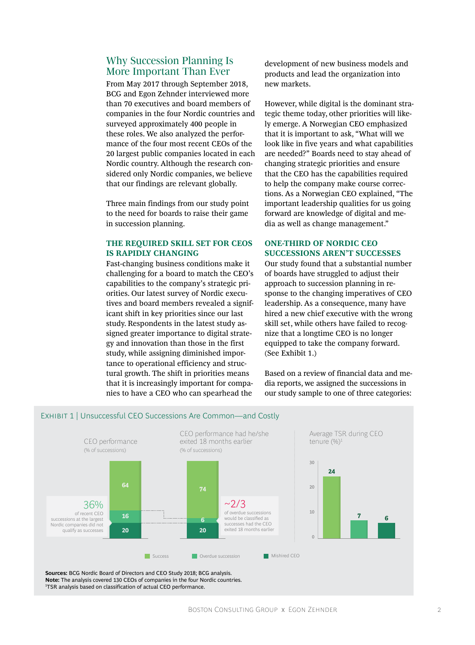# Why Succession Planning Is More Important Than Ever

From May 2017 through September 2018, BCG and Egon Zehnder interviewed more than 70 executives and board members of companies in the four Nordic countries and surveyed approximately 400 people in these roles. We also analyzed the performance of the four most recent CEOs of the 20 largest public companies located in each Nordic country. Although the research considered only Nordic companies, we believe that our findings are relevant globally.

Three main findings from our study point to the need for boards to raise their game in succession planning.

#### **THE REQUIRED SKILL SET FOR CEOS IS RAPIDLY CHANGING**

Fast-changing business conditions make it challenging for a board to match the CEO's capabilities to the company's strategic priorities. Our latest survey of Nordic executives and board members revealed a significant shift in key priorities since our last study. Respondents in the latest study assigned greater importance to digital strategy and innovation than those in the first study, while assigning diminished importance to operational efficiency and structural growth. The shift in priorities means that it is increasingly important for companies to have a CEO who can spearhead the

development of new business models and products and lead the organization into new markets.

However, while digital is the dominant strategic theme today, other priorities will likely emerge. A Norwegian CEO emphasized that it is important to ask, "What will we look like in five years and what capabilities are needed?" Boards need to stay ahead of changing strategic priorities and ensure that the CEO has the capabilities required to help the company make course corrections. As a Norwegian CEO explained, "The important leadership qualities for us going forward are knowledge of digital and media as well as change management."

#### **ONE-THIRD OF NORDIC CEO SUCCESSIONS AREN'T SUCCESSES**

Our study found that a substantial number of boards have struggled to adjust their approach to succession planning in response to the changing imperatives of CEO leadership. As a consequence, many have hired a new chief executive with the wrong skill set, while others have failed to recognize that a longtime CEO is no longer equipped to take the company forward. (See Exhibit 1.)

Based on a review of financial data and media reports, we assigned the successions in our study sample to one of three categories:



**Sources:** BCG Nordic Board of Directors and CEO Study 2018; BCG analysis. **Note:** The analysis covered 130 CEOs of companies in the four Nordic countries. 1 <sup>1</sup>TSR analysis based on classification of actual CEO performance.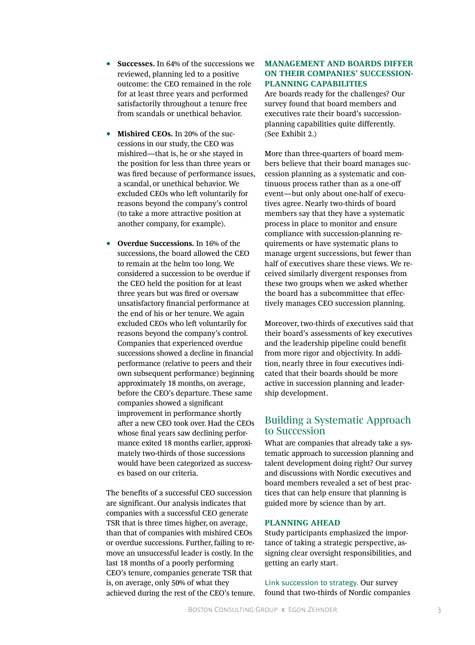- **Successes.** In 64% of the successions we reviewed, planning led to a positive outcome: the CEO remained in the role for at least three years and performed satisfactorily throughout a tenure free from scandals or unethical behavior.
- **Mishired CEOs.** In 20% of the successions in our study, the CEO was mishired—that is, he or she stayed in the position for less than three years or was fired because of performance issues, a scandal, or unethical behavior. We excluded CEOs who left voluntarily for reasons beyond the company's control (to take a more attractive position at another company, for example).
- **Overdue Successions.** In 16% of the successions, the board allowed the CEO to remain at the helm too long. We considered a succession to be overdue if the CEO held the position for at least three years but was fired or oversaw unsatisfactory financial performance at the end of his or her tenure. We again excluded CEOs who left voluntarily for reasons beyond the company's control. Companies that experienced overdue successions showed a decline in financial performance (relative to peers and their own subsequent performance) beginning approximately 18 months, on average, before the CEO's departure. These same companies showed a significant improvement in performance shortly after a new CEO took over. Had the CEOs whose final years saw declining performance exited 18 months earlier, approximately two-thirds of those successions would have been categorized as successes based on our criteria.

The benefits of a successful CEO succession are significant. Our analysis indicates that companies with a successful CEO generate TSR that is three times higher, on average, than that of companies with mishired CEOs or overdue successions. Further, failing to remove an unsuccessful leader is costly. In the last 18 months of a poorly performing CEO's tenure, companies generate TSR that is, on average, only 50% of what they achieved during the rest of the CEO's tenure.

#### **MANAGEMENT AND BOARDS DIFFER ON THEIR COMPANIES' SUCCESSION-PLANNING CAPABILITIES**

Are boards ready for the challenges? Our survey found that board members and executives rate their board's successionplanning capabilities quite differently. (See Exhibit 2.)

More than three-quarters of board members believe that their board manages succession planning as a systematic and continuous process rather than as a one-off event—but only about one-half of executives agree. Nearly two-thirds of board members say that they have a systematic process in place to monitor and ensure compliance with succession-planning requirements or have systematic plans to manage urgent successions, but fewer than half of executives share these views. We received similarly divergent responses from these two groups when we asked whether the board has a subcommittee that effectively manages CEO succession planning.

Moreover, two-thirds of executives said that their board's assessments of key executives and the leadership pipeline could benefit from more rigor and objectivity. In addition, nearly three in four executives indicated that their boards should be more active in succession planning and leadership development.

# Building a Systematic Approach to Succession

What are companies that already take a systematic approach to succession planning and talent development doing right? Our survey and discussions with Nordic executives and board members revealed a set of best practices that can help ensure that planning is guided more by science than by art.

### **PLANNING AHEAD**

Study participants emphasized the importance of taking a strategic perspective, assigning clear oversight responsibilities, and getting an early start.

Link succession to strategy. Our survey found that two-thirds of Nordic companies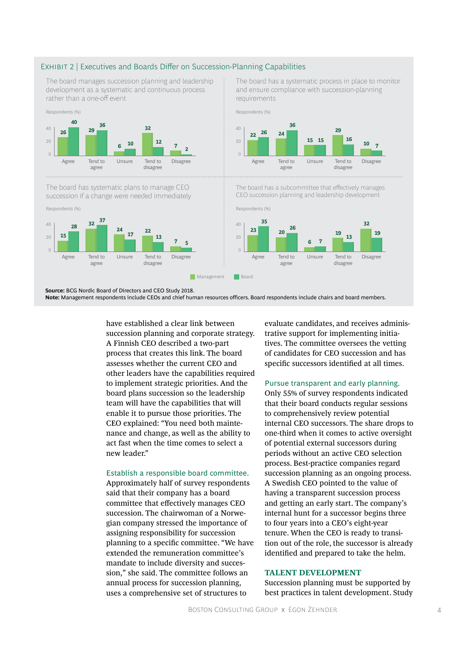#### Exhibit 2 | Executives and Boards Differ on Succession-Planning Capabilities

The board manages succession planning and leadership development as a systematic and continuous process rather than a one-off event



The board has systematic plans to manage CEO succession if a change were needed immediately



The board has a systematic process in place to monitor and ensure compliance with succession-planning requirements



The board has a subcommittee that effectively manages CEO succession planning and leadership development



**Source:** BCG Nordic Board of Directors and CEO Study 2018.

**Note:** Management respondents include CEOs and chief human resources officers. Board respondents include chairs and board members.

have established a clear link between succession planning and corporate strategy. A Finnish CEO described a two-part process that creates this link. The board assesses whether the current CEO and other leaders have the capabilities required to implement strategic priorities. And the board plans succession so the leadership team will have the capabilities that will enable it to pursue those priorities. The CEO explained: "You need both maintenance and change, as well as the ability to act fast when the time comes to select a new leader."

#### Establish a responsible board committee.

Approximately half of survey respondents said that their company has a board committee that effectively manages CEO succession. The chairwoman of a Norwegian company stressed the importance of assigning responsibility for succession planning to a specific committee. "We have extended the remuneration committee's mandate to include diversity and succession," she said. The committee follows an annual process for succession planning, uses a comprehensive set of structures to

evaluate candidates, and receives administrative support for implementing initiatives. The committee oversees the vetting of candidates for CEO succession and has specific successors identified at all times.

#### Pursue transparent and early planning.

Only 55% of survey respondents indicated that their board conducts regular sessions to comprehensively review potential internal CEO successors. The share drops to one-third when it comes to active oversight of potential external successors during periods without an active CEO selection process. Best-practice companies regard succession planning as an ongoing process. A Swedish CEO pointed to the value of having a transparent succession process and getting an early start. The company's internal hunt for a successor begins three to four years into a CEO's eight-year tenure. When the CEO is ready to transition out of the role, the successor is already identified and prepared to take the helm.

#### **TALENT DEVELOPMENT**

Succession planning must be supported by best practices in talent development. Study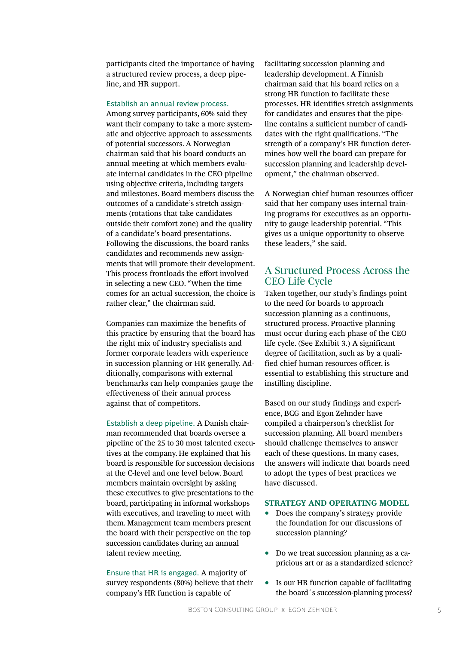participants cited the importance of having a structured review process, a deep pipeline, and HR support.

#### Establish an annual review process.

Among survey participants, 60% said they want their company to take a more systematic and objective approach to assessments of potential successors. A Norwegian chairman said that his board conducts an annual meeting at which members evaluate internal candidates in the CEO pipeline using objective criteria, including targets and milestones. Board members discuss the outcomes of a candidate's stretch assignments (rotations that take candidates outside their comfort zone) and the quality of a candidate's board presentations. Following the discussions, the board ranks candidates and recommends new assignments that will promote their development. This process frontloads the effort involved in selecting a new CEO. "When the time comes for an actual succession, the choice is rather clear," the chairman said.

Companies can maximize the benefits of this practice by ensuring that the board has the right mix of industry specialists and former corporate leaders with experience in succession planning or HR generally. Additionally, comparisons with external benchmarks can help companies gauge the effectiveness of their annual process against that of competitors.

Establish a deep pipeline. A Danish chairman recommended that boards oversee a pipeline of the 25 to 30 most talented executives at the company. He explained that his board is responsible for succession decisions at the C-level and one level below. Board members maintain oversight by asking these executives to give presentations to the board, participating in informal workshops with executives, and traveling to meet with them. Management team members present the board with their perspective on the top succession candidates during an annual talent review meeting.

Ensure that HR is engaged. A majority of survey respondents (80%) believe that their company's HR function is capable of

facilitating succession planning and leadership development. A Finnish chairman said that his board relies on a strong HR function to facilitate these processes. HR identifies stretch assignments for candidates and ensures that the pipeline contains a sufficient number of candidates with the right qualifications. "The strength of a company's HR function determines how well the board can prepare for succession planning and leadership development," the chairman observed.

A Norwegian chief human resources officer said that her company uses internal training programs for executives as an opportunity to gauge leadership potential. "This gives us a unique opportunity to observe these leaders," she said.

# A Structured Process Across the CEO Life Cycle

Taken together, our study's findings point to the need for boards to approach succession planning as a continuous, structured process. Proactive planning must occur during each phase of the CEO life cycle. (See Exhibit 3.) A significant degree of facilitation, such as by a qualified chief human resources officer, is essential to establishing this structure and instilling discipline.

Based on our study findings and experience, BCG and Egon Zehnder have compiled a chairperson's checklist for succession planning. All board members should challenge themselves to answer each of these questions. In many cases, the answers will indicate that boards need to adopt the types of best practices we have discussed.

#### **STRATEGY AND OPERATING MODEL**

- Does the company's strategy provide the foundation for our discussions of succession planning?
- Do we treat succession planning as a capricious art or as a standardized science?
- Is our HR function capable of facilitating the board´s succession-planning process?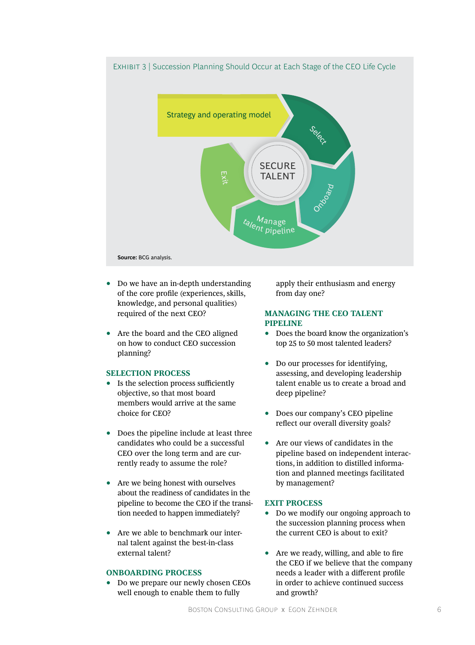

- Do we have an in-depth understanding of the core profile (experiences, skills, knowledge, and personal qualities) required of the next CEO?
- Are the board and the CEO aligned on how to conduct CEO succession planning?

#### **SELECTION PROCESS**

- Is the selection process sufficiently objective, so that most board members would arrive at the same choice for CEO?
- Does the pipeline include at least three candidates who could be a successful CEO over the long term and are currently ready to assume the role?
- Are we being honest with ourselves about the readiness of candidates in the pipeline to become the CEO if the transition needed to happen immediately?
- Are we able to benchmark our internal talent against the best-in-class external talent?

#### **ONBOARDING PROCESS**

• Do we prepare our newly chosen CEOs well enough to enable them to fully

apply their enthusiasm and energy from day one?

#### **MANAGING THE CEO TALENT PIPELINE**

- Does the board know the organization's top 25 to 50 most talented leaders?
- Do our processes for identifying, assessing, and developing leadership talent enable us to create a broad and deep pipeline?
- Does our company's CEO pipeline reflect our overall diversity goals?
- Are our views of candidates in the pipeline based on independent interactions, in addition to distilled information and planned meetings facilitated by management?

#### **EXIT PROCESS**

- Do we modify our ongoing approach to the succession planning process when the current CEO is about to exit?
- Are we ready, willing, and able to fire the CEO if we believe that the company needs a leader with a different profile in order to achieve continued success and growth?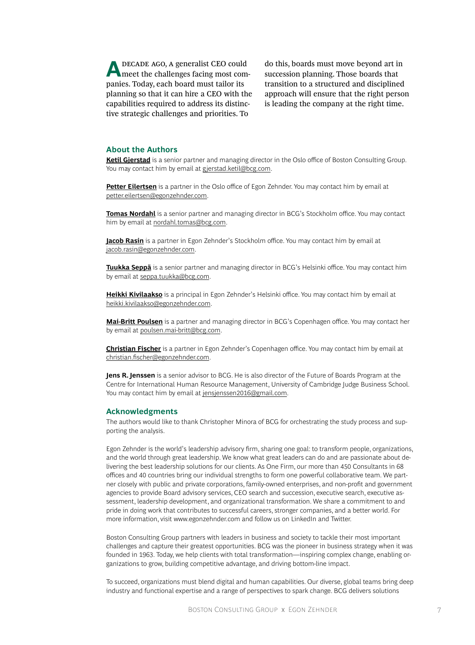**A DECADE AGO, A generalist CEO could meet the challenges facing most com**panies. Today, each board must tailor its planning so that it can hire a CEO with the capabilities required to address its distinctive strategic challenges and priorities. To

do this, boards must move beyond art in succession planning. Those boards that transition to a structured and disciplined approach will ensure that the right person is leading the company at the right time.

#### **About the Authors**

**[Ketil Gjerstad](https://www.bcg.com/about/people/experts/ketil-gjerstad.aspx)** is a senior partner and managing director in the Oslo office of Boston Consulting Group. You may contact him by email at [gjerstad.ketil@bcg.com](mailto:gjerstad.ketil%40bcg.com?subject=).

**[Petter Eilertsen](https://www.egonzehnder.com/office/oslo/consultant/petter-eilertsen)** is a partner in the Oslo office of Egon Zehnder. You may contact him by email at [petter.eilertsen@egonzehnder.com](mailto:petter.eilertsen%40egonzehnder.com?subject=).

**[Tomas Nordahl](https://www.bcg.com/about/people/experts/tomas-nordahl.aspx)** is a senior partner and managing director in BCG's Stockholm office. You may contact him by email at [nordahl.tomas@bcg.com](mailto:nordahl.tomas%40bcg.com?subject=).

**[Jacob Rasin](https://www.egonzehnder.com/office/stockholm/consultant/jacob-rasin)** is a partner in Egon Zehnder's Stockholm office. You may contact him by email at [jacob.rasin@egonzehnder.com](mailto:jacob.rasin%40egonzehnder.com?subject=).

**[Tuukka Seppä](https://www.bcg.com/about/people/experts/tuukka-seppa.aspx)** is a senior partner and managing director in BCG's Helsinki office. You may contact him by email at [seppa.tuukka@bcg.com](mailto:seppa.tuukka%40bcg.com?subject=).

**[Heikki Kivilaakso](https://www.egonzehnder.com/office/helsinki/consultant/heikki-kivilaakso)** is a principal in Egon Zehnder's Helsinki office. You may contact him by email at [heikki.kivilaakso@egonzehnder.com](mailto:heikki.kivilaakso%40egonzehnder.com?subject=).

**[Mai-Britt Poulsen](https://www.bcg.com/en-us/about/people/experts/mai-britt-poulsen.aspx)** is a partner and managing director in BCG's Copenhagen office. You may contact her by email at [poulsen.mai-britt@bcg.com](mailto:poulsen.mai-britt%40bcg.com?subject=).

**[Christian Fischer](https://www.egonzehnder.com/office/copenhagen/consultant/christian-fischer)** is a partner in Egon Zehnder's Copenhagen office. You may contact him by email at [christian.fischer@egonzehnder.com](mailto:christian.fischer%40egonzehnder.com?subject=).

**Jens R. Jenssen** is a senior advisor to BCG. He is also director of the Future of Boards Program at the Centre for International Human Resource Management, University of Cambridge Judge Business School. You may contact him by email at [jensjenssen2016@gmail.com](mailto:jensjenssen2016%40gmail.com?subject=).

#### **Acknowledgments**

The authors would like to thank Christopher Minora of BCG for orchestrating the study process and supporting the analysis.

Egon Zehnder is the world's leadership advisory firm, sharing one goal: to transform people, organizations, and the world through great leadership. We know what great leaders can do and are passionate about delivering the best leadership solutions for our clients. As One Firm, our more than 450 Consultants in 68 offices and 40 countries bring our individual strengths to form one powerful collaborative team. We partner closely with public and private corporations, family-owned enterprises, and non-profit and government agencies to provide Board advisory services, CEO search and succession, executive search, executive assessment, leadership development, and organizational transformation. We share a commitment to and pride in doing work that contributes to successful careers, stronger companies, and a better world. For more information, visit www.egonzehnder.com and follow us on LinkedIn and Twitter.

Boston Consulting Group partners with leaders in business and society to tackle their most important challenges and capture their greatest opportunities. BCG was the pioneer in business strategy when it was founded in 1963. Today, we help clients with total transformation—inspiring complex change, enabling organizations to grow, building competitive advantage, and driving bottom-line impact.

To succeed, organizations must blend digital and human capabilities. Our diverse, global teams bring deep industry and functional expertise and a range of perspectives to spark change. BCG delivers solutions